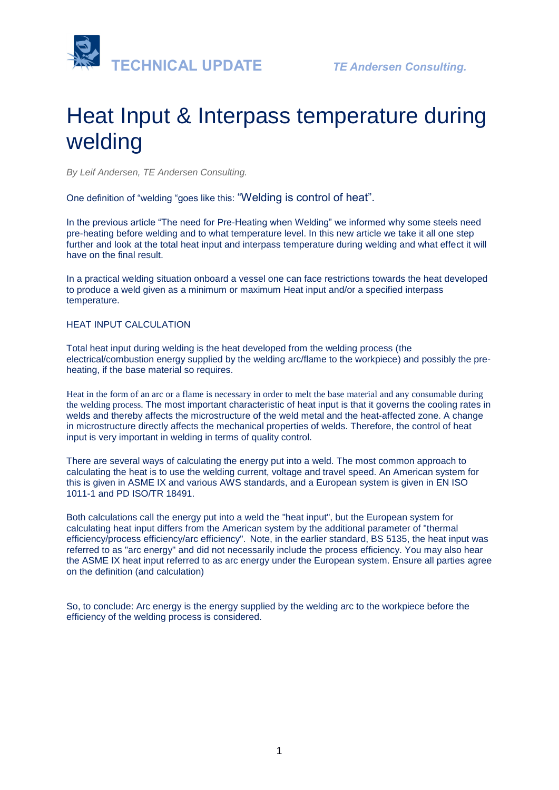

# Heat Input & Interpass temperature during welding

*By Leif Andersen, TE Andersen Consulting.*

One definition of "welding "goes like this: "Welding is control of heat".

In the previous article "The need for Pre-Heating when Welding" we informed why some steels need pre-heating before welding and to what temperature level. In this new article we take it all one step further and look at the total heat input and interpass temperature during welding and what effect it will have on the final result.

In a practical welding situation onboard a vessel one can face restrictions towards the heat developed to produce a weld given as a minimum or maximum Heat input and/or a specified interpass temperature.

#### HEAT INPUT CALCULATION

Total heat input during welding is the heat developed from the welding process (the electrical/combustion energy supplied by the welding arc/flame to the workpiece) and possibly the preheating, if the base material so requires.

Heat in the form of an arc or a flame is necessary in order to melt the base material and any consumable during the welding process. The most important characteristic of heat input is that it governs the cooling rates in welds and thereby affects the microstructure of the weld metal and the heat-affected zone. A change in microstructure directly affects the mechanical properties of welds. Therefore, the control of heat input is very important in welding in terms of quality control.

There are several ways of calculating the energy put into a weld. The most common approach to calculating the heat is to use the welding current, voltage and travel speed. An American system for this is given in ASME IX and various AWS standards, and a European system is given in EN ISO 1011-1 and PD ISO/TR 18491.

Both calculations call the energy put into a weld the "heat input", but the European system for calculating heat input differs from the American system by the additional parameter of "thermal efficiency/process efficiency/arc efficiency". Note, in the earlier standard, BS 5135, the heat input was referred to as "arc energy" and did not necessarily include the process efficiency. You may also hear the ASME IX heat input referred to as arc energy under the European system. Ensure all parties agree on the definition (and calculation)

So, to conclude: Arc energy is the energy supplied by the welding arc to the workpiece before the efficiency of the welding process is considered.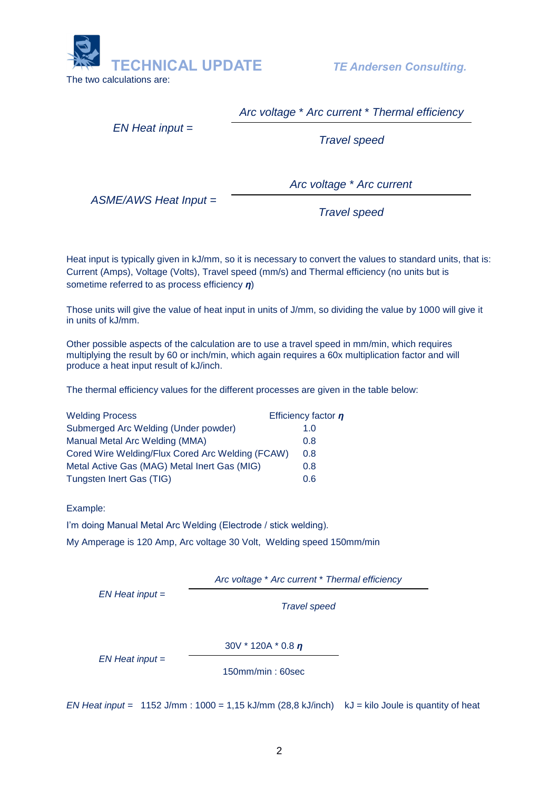

*Arc voltage* \* *Arc current* \* *Thermal efficiency*

*EN Heat input* =

*Travel speed*

*ASME/AWS Heat Input* =

*Arc voltage* \* *Arc current*

*Travel speed*

Heat input is typically given in kJ/mm, so it is necessary to convert the values to standard units, that is: Current (Amps), Voltage (Volts), Travel speed (mm/s) and Thermal efficiency (no units but is sometime referred to as process efficiency *η*)

Those units will give the value of heat input in units of J/mm, so dividing the value by 1000 will give it in units of kJ/mm.

Other possible aspects of the calculation are to use a travel speed in mm/min, which requires multiplying the result by 60 or inch/min, which again requires a 60x multiplication factor and will produce a heat input result of kJ/inch.

The thermal efficiency values for the different processes are given in the table below:

| <b>Welding Process</b>                           | Efficiency factor $n$ |
|--------------------------------------------------|-----------------------|
| Submerged Arc Welding (Under powder)             | 1.0                   |
| Manual Metal Arc Welding (MMA)                   | 0.8                   |
| Cored Wire Welding/Flux Cored Arc Welding (FCAW) | 0.8                   |
| Metal Active Gas (MAG) Metal Inert Gas (MIG)     | 0.8                   |
| Tungsten Inert Gas (TIG)                         | 0.6                   |

Example:

I'm doing Manual Metal Arc Welding (Electrode / stick welding).

My Amperage is 120 Amp, Arc voltage 30 Volt, Welding speed 150mm/min

*Arc voltage* \* *Arc current* \* *Thermal efficiency*

*EN Heat input* =

*Travel speed*

30V \* 120A \* 0.8 *η*

*EN Heat input* =

150mm/min : 60sec

*EN Heat input* = 1152 J/mm : 1000 = 1,15 kJ/mm (28,8 kJ/inch)kJ = kilo Joule is quantity of heat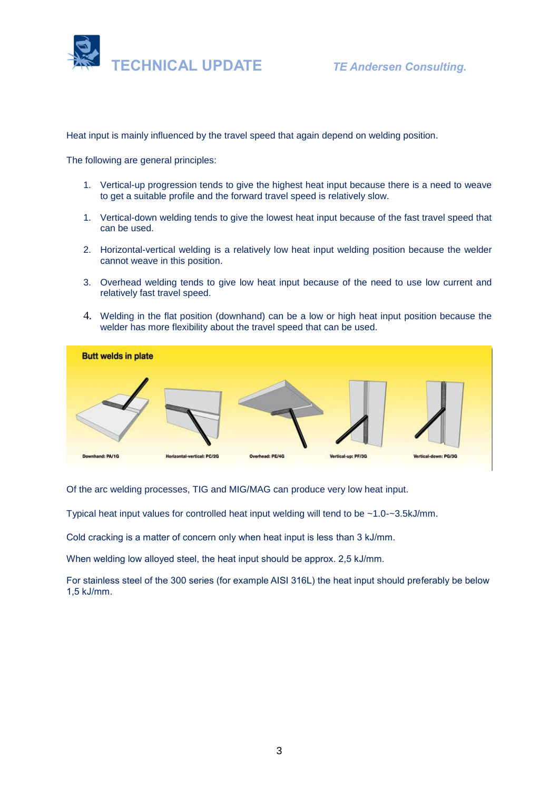

Heat input is mainly influenced by the travel speed that again depend on welding position.

The following are general principles:

- 1. Vertical-up progression tends to give the highest heat input because there is a need to weave to get a suitable profile and the forward travel speed is relatively slow.
- 1. Vertical-down welding tends to give the lowest heat input because of the fast travel speed that can be used.
- 2. Horizontal-vertical welding is a relatively low heat input welding position because the welder cannot weave in this position.
- 3. Overhead welding tends to give low heat input because of the need to use low current and relatively fast travel speed.
- 4. Welding in the flat position (downhand) can be a low or high heat input position because the welder has more flexibility about the travel speed that can be used.



Of the arc welding processes, TIG and MIG/MAG can produce very low heat input.

Typical heat input values for controlled heat input welding will tend to be ~1.0-~3.5kJ/mm.

Cold cracking is a matter of concern only when heat input is less than 3 kJ/mm.

When welding low alloyed steel, the heat input should be approx. 2,5 kJ/mm.

For stainless steel of the 300 series (for example AISI 316L) the heat input should preferably be below 1,5 kJ/mm.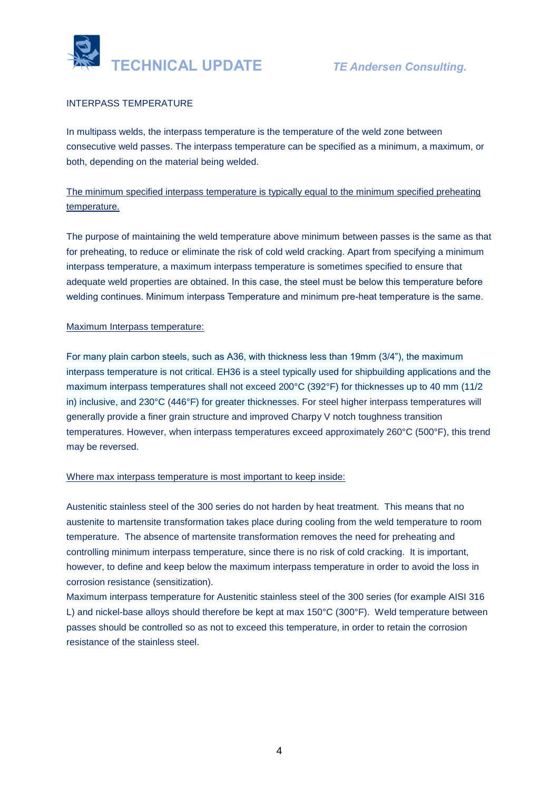

## INTERPASS TEMPERATURE

In multipass welds, the interpass temperature is the temperature of the weld zone between consecutive weld passes. The interpass temperature can be specified as a minimum, a maximum, or both, depending on the material being welded.

# The minimum specified interpass temperature is typically equal to the minimum specified preheating temperature.

The purpose of maintaining the weld temperature above minimum between passes is the same as that for preheating, to reduce or eliminate the risk of cold weld cracking. Apart from specifying a minimum interpass temperature, a maximum interpass temperature is sometimes specified to ensure that adequate weld properties are obtained. In this case, the steel must be below this temperature before welding continues. Minimum interpass Temperature and minimum pre-heat temperature is the same.

#### Maximum Interpass temperature:

For many plain carbon steels, such as A36, with thickness less than 19mm (3/4"), the maximum interpass temperature is not critical. EH36 is a steel typically used for shipbuilding applications and the maximum interpass temperatures shall not exceed 200°C (392°F) for thicknesses up to 40 mm (11/2 in) inclusive, and 230°C (446°F) for greater thicknesses. For steel higher interpass temperatures will generally provide a finer grain structure and improved Charpy V notch toughness transition temperatures. However, when interpass temperatures exceed approximately 260°C (500°F), this trend may be reversed.

#### Where max interpass temperature is most important to keep inside:

Austenitic stainless steel of the 300 series do not harden by heat treatment. This means that no austenite to martensite transformation takes place during cooling from the weld temperature to room temperature. The absence of martensite transformation removes the need for preheating and controlling minimum interpass temperature, since there is no risk of cold cracking. It is important, however, to define and keep below the maximum interpass temperature in order to avoid the loss in corrosion resistance (sensitization).

Maximum interpass temperature for Austenitic stainless steel of the 300 series (for example AISI 316 L) and nickel-base alloys should therefore be kept at max 150°C (300°F). Weld temperature between passes should be controlled so as not to exceed this temperature, in order to retain the corrosion resistance of the stainless steel.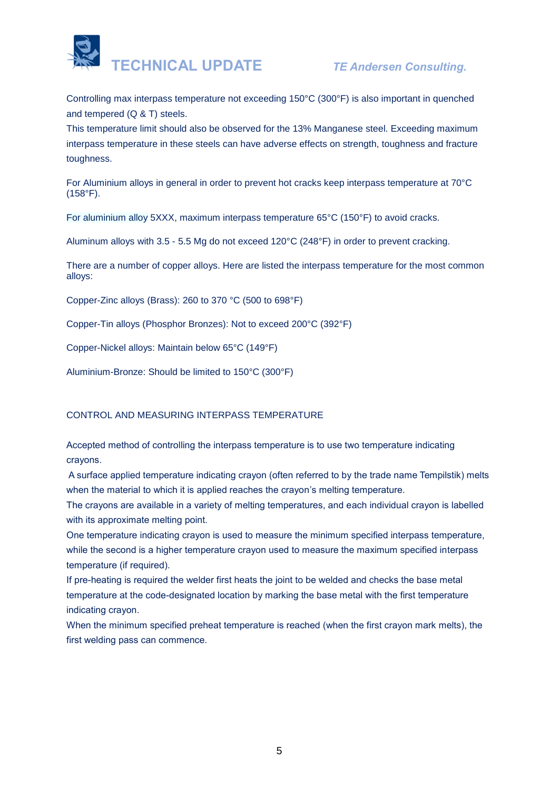

Controlling max interpass temperature not exceeding 150°C (300°F) is also important in quenched and tempered (Q & T) steels.

This temperature limit should also be observed for the 13% Manganese steel. Exceeding maximum interpass temperature in these steels can have adverse effects on strength, toughness and fracture toughness.

For Aluminium alloys in general in order to prevent hot cracks keep interpass temperature at 70°C (158°F).

For aluminium alloy 5XXX, maximum interpass temperature 65°C (150°F) to avoid cracks.

Aluminum alloys with 3.5 - 5.5 Mg do not exceed 120°C (248°F) in order to prevent cracking.

There are a number of copper alloys. Here are listed the interpass temperature for the most common alloys:

Copper-Zinc alloys (Brass): 260 to 370 °C (500 to 698°F)

Copper-Tin alloys (Phosphor Bronzes): Not to exceed 200°C (392°F)

Copper-Nickel alloys: Maintain below 65°C (149°F)

Aluminium-Bronze: Should be limited to 150°C (300°F)

#### CONTROL AND MEASURING INTERPASS TEMPERATURE

Accepted method of controlling the interpass temperature is to use two temperature indicating crayons.

A surface applied temperature indicating crayon (often referred to by the trade name Tempilstik) melts when the material to which it is applied reaches the crayon's melting temperature.

The crayons are available in a variety of melting temperatures, and each individual crayon is labelled with its approximate melting point.

One temperature indicating crayon is used to measure the minimum specified interpass temperature, while the second is a higher temperature crayon used to measure the maximum specified interpass temperature (if required).

If pre-heating is required the welder first heats the joint to be welded and checks the base metal temperature at the code-designated location by marking the base metal with the first temperature indicating crayon.

When the minimum specified preheat temperature is reached (when the first crayon mark melts), the first welding pass can commence.